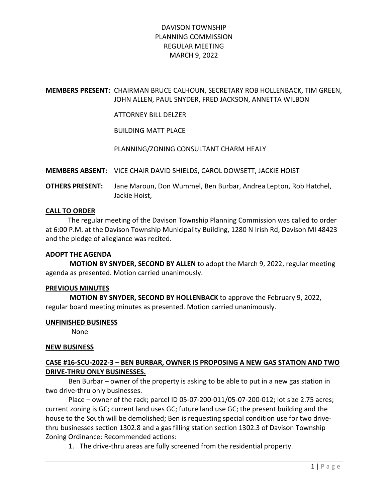### MEMBERS PRESENT: CHAIRMAN BRUCE CALHOUN, SECRETARY ROB HOLLENBACK, TIM GREEN, JOHN ALLEN, PAUL SNYDER, FRED JACKSON, ANNETTA WILBON

ATTORNEY BILL DELZER

BUILDING MATT PLACE

PLANNING/ZONING CONSULTANT CHARM HEALY

MEMBERS ABSENT: VICE CHAIR DAVID SHIELDS, CAROL DOWSETT, JACKIE HOIST

OTHERS PRESENT: Jane Maroun, Don Wummel, Ben Burbar, Andrea Lepton, Rob Hatchel, Jackie Hoist,

### CALL TO ORDER

 The regular meeting of the Davison Township Planning Commission was called to order at 6:00 P.M. at the Davison Township Municipality Building, 1280 N Irish Rd, Davison MI 48423 and the pledge of allegiance was recited.

#### ADOPT THE AGENDA

 MOTION BY SNYDER, SECOND BY ALLEN to adopt the March 9, 2022, regular meeting agenda as presented. Motion carried unanimously.

#### PREVIOUS MINUTES

 MOTION BY SNYDER, SECOND BY HOLLENBACK to approve the February 9, 2022, regular board meeting minutes as presented. Motion carried unanimously.

#### UNFINISHED BUSINESS

None

#### NEW BUSINESS

## CASE #16-SCU-2022-3 – BEN BURBAR, OWNER IS PROPOSING A NEW GAS STATION AND TWO DRIVE-THRU ONLY BUSINESSES.

Ben Burbar – owner of the property is asking to be able to put in a new gas station in two drive-thru only businesses.

Place – owner of the rack; parcel ID 05-07-200-011/05-07-200-012; lot size 2.75 acres; current zoning is GC; current land uses GC; future land use GC; the present building and the house to the South will be demolished; Ben is requesting special condition use for two drivethru businesses section 1302.8 and a gas filling station section 1302.3 of Davison Township Zoning Ordinance: Recommended actions:

1. The drive-thru areas are fully screened from the residential property.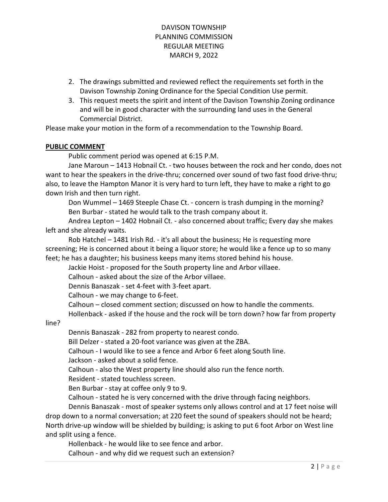- 2. The drawings submitted and reviewed reflect the requirements set forth in the Davison Township Zoning Ordinance for the Special Condition Use permit.
- 3. This request meets the spirit and intent of the Davison Township Zoning ordinance and will be in good character with the surrounding land uses in the General Commercial District.

Please make your motion in the form of a recommendation to the Township Board.

### PUBLIC COMMENT

Public comment period was opened at 6:15 P.M.

Jane Maroun – 1413 Hobnail Ct. - two houses between the rock and her condo, does not want to hear the speakers in the drive-thru; concerned over sound of two fast food drive-thru; also, to leave the Hampton Manor it is very hard to turn left, they have to make a right to go down Irish and then turn right.

Don Wummel – 1469 Steeple Chase Ct. - concern is trash dumping in the morning? Ben Burbar - stated he would talk to the trash company about it.

Andrea Lepton – 1402 Hobnail Ct. - also concerned about traffic; Every day she makes left and she already waits.

Rob Hatchel – 1481 Irish Rd. - it's all about the business; He is requesting more screening; He is concerned about it being a liquor store; he would like a fence up to so many feet; he has a daughter; his business keeps many items stored behind his house.

Jackie Hoist - proposed for the South property line and Arbor villaee.

Calhoun - asked about the size of the Arbor villaee.

Dennis Banaszak - set 4-feet with 3-feet apart.

Calhoun - we may change to 6-feet.

Calhoun – closed comment section; discussed on how to handle the comments.

Hollenback - asked if the house and the rock will be torn down? how far from property

line?

Dennis Banaszak - 282 from property to nearest condo.

Bill Delzer - stated a 20-foot variance was given at the ZBA.

Calhoun - I would like to see a fence and Arbor 6 feet along South line.

Jackson - asked about a solid fence.

Calhoun - also the West property line should also run the fence north.

Resident - stated touchless screen.

Ben Burbar - stay at coffee only 9 to 9.

Calhoun - stated he is very concerned with the drive through facing neighbors.

Dennis Banaszak - most of speaker systems only allows control and at 17 feet noise will drop down to a normal conversation; at 220 feet the sound of speakers should not be heard; North drive-up window will be shielded by building; is asking to put 6 foot Arbor on West line and split using a fence.

Hollenback - he would like to see fence and arbor.

Calhoun - and why did we request such an extension?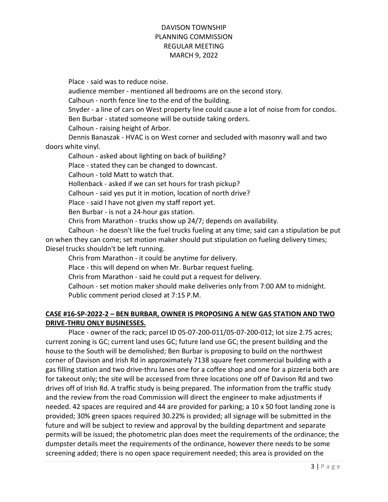Place - said was to reduce noise.

audience member - mentioned all bedrooms are on the second story.

Calhoun - north fence line to the end of the building.

Snyder - a line of cars on West property line could cause a lot of noise from for condos. Ben Burbar - stated someone will be outside taking orders.

Calhoun - raising height of Arbor.

Dennis Banaszak - HVAC is on West corner and secluded with masonry wall and two doors white vinyl.

Calhoun - asked about lighting on back of building?

Place - stated they can be changed to downcast.

Calhoun - told Matt to watch that.

Hollenback - asked if we can set hours for trash pickup?

Calhoun - said yes put it in motion, location of north drive?

Place - said I have not given my staff report yet.

Ben Burbar - is not a 24-hour gas station.

Chris from Marathon - trucks show up 24/7; depends on availability.

Calhoun - he doesn't like the fuel trucks fueling at any time; said can a stipulation be put on when they can come; set motion maker should put stipulation on fueling delivery times; Diesel trucks shouldn't be left running.

Chris from Marathon - it could be anytime for delivery.

Place - this will depend on when Mr. Burbar request fueling.

Chris from Marathon - said he could put a request for delivery.

Calhoun - set motion maker should make deliveries only from 7:00 AM to midnight. Public comment period closed at 7:15 P.M.

## CASE #16-SP-2022-2 – BEN BURBAR, OWNER IS PROPOSING A NEW GAS STATION AND TWO DRIVE-THRU ONLY BUSINESSES.

 Place - owner of the rack; parcel ID 05-07-200-011/05-07-200-012; lot size 2.75 acres; current zoning is GC; current land uses GC; future land use GC; the present building and the house to the South will be demolished; Ben Burbar is proposing to build on the northwest corner of Davison and Irish Rd in approximately 7138 square feet commercial building with a gas filling station and two drive-thru lanes one for a coffee shop and one for a pizzeria both are for takeout only; the site will be accessed from three locations one off of Davison Rd and two drives off of Irish Rd. A traffic study is being prepared. The information from the traffic study and the review from the road Commission will direct the engineer to make adjustments if needed. 42 spaces are required and 44 are provided for parking; a 10 x 50 foot landing zone is provided; 30% green spaces required 30.22% is provided; all signage will be submitted in the future and will be subject to review and approval by the building department and separate permits will be issued; the photometric plan does meet the requirements of the ordinance; the dumpster details meet the requirements of the ordinance, however there needs to be some screening added; there is no open space requirement needed; this area is provided on the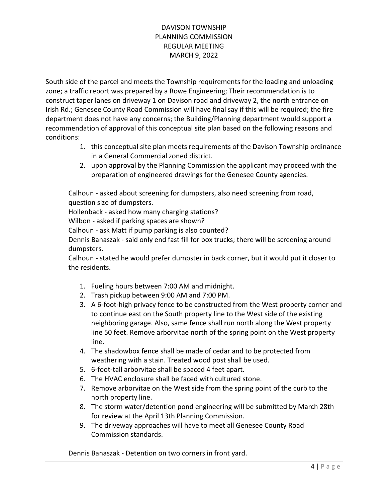South side of the parcel and meets the Township requirements for the loading and unloading zone; a traffic report was prepared by a Rowe Engineering; Their recommendation is to construct taper lanes on driveway 1 on Davison road and driveway 2, the north entrance on Irish Rd.; Genesee County Road Commission will have final say if this will be required; the fire department does not have any concerns; the Building/Planning department would support a recommendation of approval of this conceptual site plan based on the following reasons and conditions:

- 1. this conceptual site plan meets requirements of the Davison Township ordinance in a General Commercial zoned district.
- 2. upon approval by the Planning Commission the applicant may proceed with the preparation of engineered drawings for the Genesee County agencies.

Calhoun - asked about screening for dumpsters, also need screening from road, question size of dumpsters.

Hollenback - asked how many charging stations?

Wilbon - asked if parking spaces are shown?

Calhoun - ask Matt if pump parking is also counted?

Dennis Banaszak - said only end fast fill for box trucks; there will be screening around dumpsters.

Calhoun - stated he would prefer dumpster in back corner, but it would put it closer to the residents.

- 1. Fueling hours between 7:00 AM and midnight.
- 2. Trash pickup between 9:00 AM and 7:00 PM.
- 3. A 6-foot-high privacy fence to be constructed from the West property corner and to continue east on the South property line to the West side of the existing neighboring garage. Also, same fence shall run north along the West property line 50 feet. Remove arborvitae north of the spring point on the West property line.
- 4. The shadowbox fence shall be made of cedar and to be protected from weathering with a stain. Treated wood post shall be used.
- 5. 6-foot-tall arborvitae shall be spaced 4 feet apart.
- 6. The HVAC enclosure shall be faced with cultured stone.
- 7. Remove arborvitae on the West side from the spring point of the curb to the north property line.
- 8. The storm water/detention pond engineering will be submitted by March 28th for review at the April 13th Planning Commission.
- 9. The driveway approaches will have to meet all Genesee County Road Commission standards.

Dennis Banaszak - Detention on two corners in front yard.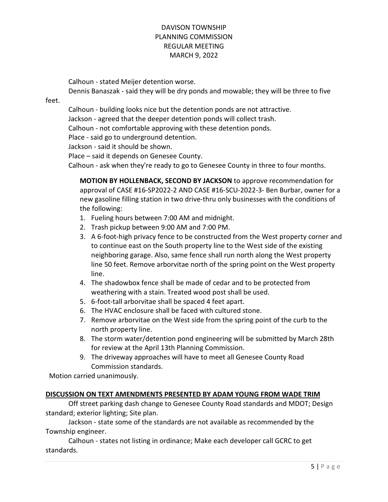Calhoun - stated Meijer detention worse.

Dennis Banaszak - said they will be dry ponds and mowable; they will be three to five

feet.

Calhoun - building looks nice but the detention ponds are not attractive.

Jackson - agreed that the deeper detention ponds will collect trash.

Calhoun - not comfortable approving with these detention ponds.

Place - said go to underground detention.

Jackson - said it should be shown.

Place – said it depends on Genesee County.

Calhoun - ask when they're ready to go to Genesee County in three to four months.

MOTION BY HOLLENBACK, SECOND BY JACKSON to approve recommendation for approval of CASE #16-SP2022-2 AND CASE #16-SCU-2022-3- Ben Burbar, owner for a new gasoline filling station in two drive-thru only businesses with the conditions of the following:

- 1. Fueling hours between 7:00 AM and midnight.
- 2. Trash pickup between 9:00 AM and 7:00 PM.
- 3. A 6-foot-high privacy fence to be constructed from the West property corner and to continue east on the South property line to the West side of the existing neighboring garage. Also, same fence shall run north along the West property line 50 feet. Remove arborvitae north of the spring point on the West property line.
- 4. The shadowbox fence shall be made of cedar and to be protected from weathering with a stain. Treated wood post shall be used.
- 5. 6-foot-tall arborvitae shall be spaced 4 feet apart.
- 6. The HVAC enclosure shall be faced with cultured stone.
- 7. Remove arborvitae on the West side from the spring point of the curb to the north property line.
- 8. The storm water/detention pond engineering will be submitted by March 28th for review at the April 13th Planning Commission.
- 9. The driveway approaches will have to meet all Genesee County Road Commission standards.

Motion carried unanimously.

### DISCUSSION ON TEXT AMENDMENTS PRESENTED BY ADAM YOUNG FROM WADE TRIM

 Off street parking dash change to Genesee County Road standards and MDOT; Design standard; exterior lighting; Site plan.

 Jackson - state some of the standards are not available as recommended by the Township engineer.

 Calhoun - states not listing in ordinance; Make each developer call GCRC to get standards.